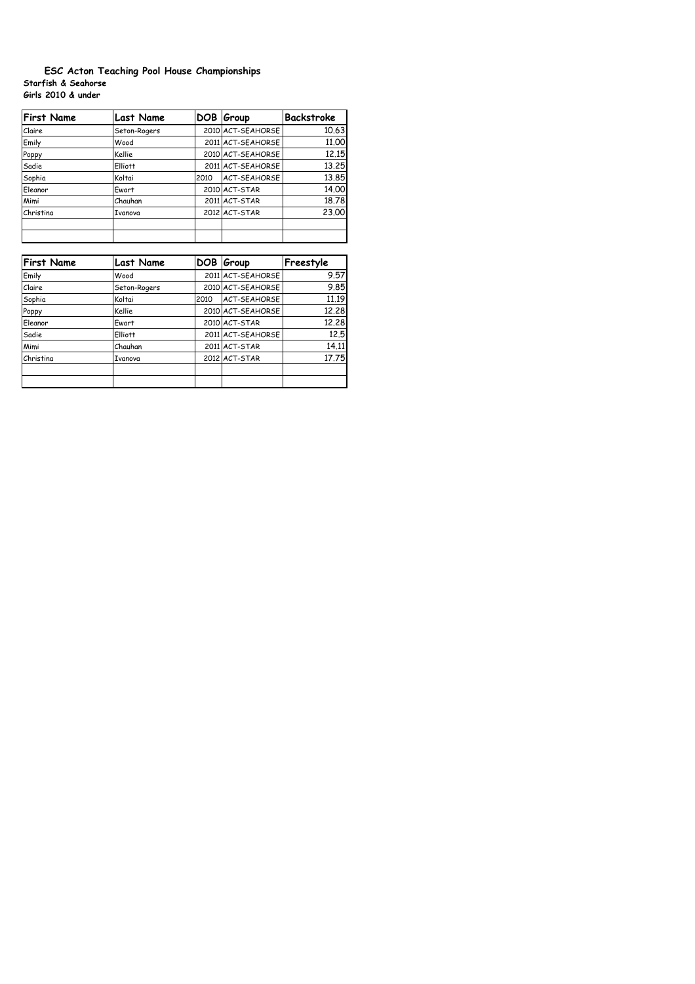## **Starfish & Seahorse Girls 2010 & under ESC Acton Teaching Pool House Championships**

| <b>First Name</b> | <b>Last Name</b> |      | DOB Group           | <b>Backstroke</b> |
|-------------------|------------------|------|---------------------|-------------------|
| Claire            | Seton-Rogers     |      | 2010 ACT-SEAHORSE   | 10.63             |
| Emily             | Wood             |      | 2011 ACT-SEAHORSE   | 11,00             |
| Poppy             | Kellie           |      | 2010 ACT-SEAHORSE   | 12.15             |
| Sadie             | <b>Elliott</b>   |      | 2011 ACT-SEAHORSE   | 13.25             |
| Sophia            | Koltai           | 2010 | <b>ACT-SEAHORSE</b> | 13.85             |
| Eleanor           | Ewart            |      | 2010 ACT-STAR       | 14.00             |
| Mimi              | Chauhan          |      | 2011 ACT-STAR       | 18.78             |
| Christina         | Ivanova          |      | 2012 ACT-STAR       | 23.00             |
|                   |                  |      |                     |                   |

| <b>First Name</b> | <b>Last Name</b> | DOB  | Group             | Freestyle |
|-------------------|------------------|------|-------------------|-----------|
| Emily             | Wood             |      | 2011 ACT-SEAHORSE | 9.57      |
| Claire            | Seton-Rogers     |      | 2010 ACT-SEAHORSE | 9.85      |
| Sophia            | Koltai           | 2010 | ACT-SEAHORSE      | 11.19     |
| Poppy             | Kellie           |      | 2010 ACT-SEAHORSE | 12.28     |
| Eleanor           | Ewart            |      | 2010 ACT-STAR     | 12,28     |
| Sadie             | Elliott          |      | 2011 ACT-SEAHORSE | 12.5      |
| Mimi              | Chauhan          |      | 2011 ACT-STAR     | 14.11     |
| Christina         | Ivanova          |      | 2012 ACT-STAR     | 17.75     |
|                   |                  |      |                   |           |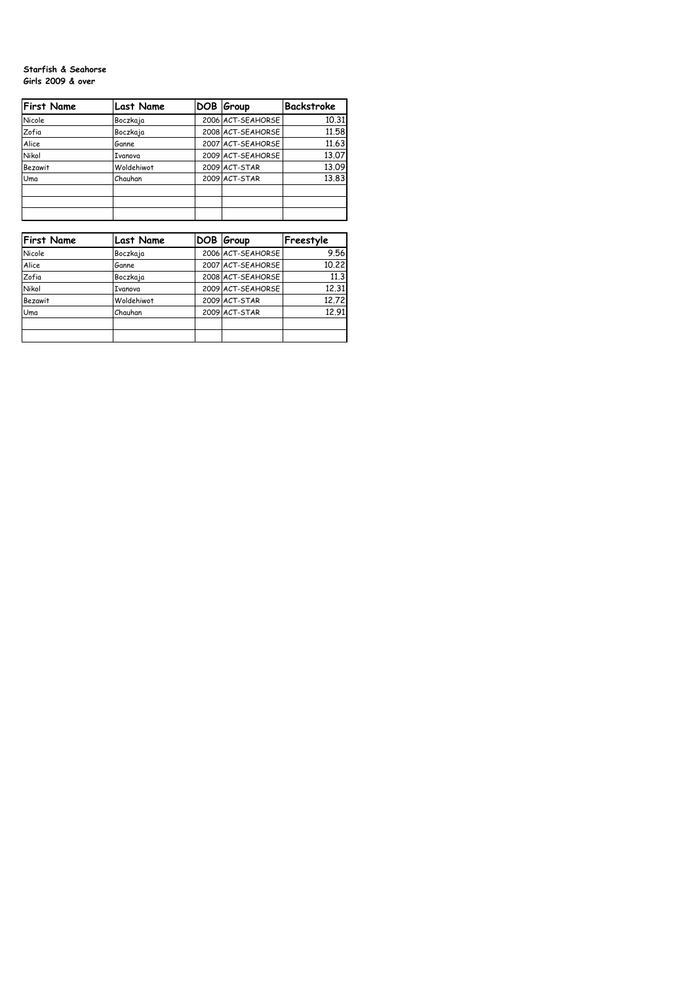## **Starfish & Seahorse Girls 2009 & over**

| <b>First Name</b> | <b>Last Name</b> | DOB Group         | Backstroke |
|-------------------|------------------|-------------------|------------|
| Nicole            | Boczkaja         | 2006 ACT-SEAHORSE | 10.31      |
| Zofia             | Boczkaja         | 2008 ACT-SEAHORSE | 11,58      |
| Alice             | Ganne            | 2007 ACT-SEAHORSE | 11.63      |
| Nikol             | Ivanova          | 2009 ACT-SEAHORSE | 13.07      |
| <b>Bezawit</b>    | Woldehiwot       | 2009 ACT-STAR     | 13.09      |
| Uma               | Chauhan          | 2009 ACT-STAR     | 13.83      |
|                   |                  |                   |            |

| <b>First Name</b> | <b>Last Name</b> | DOB Group         | Freestyle |
|-------------------|------------------|-------------------|-----------|
| Nicole            | Boczkaja         | 2006 ACT-SEAHORSE | 9.56      |
| Alice             | Ganne            | 2007 ACT-SEAHORSE | 10.22     |
| Zofia             | Boczkaja         | 2008 ACT-SEAHORSE | 11.3      |
| Nikol             | <b>Ivanova</b>   | 2009 ACT-SEAHORSE | 12.31     |
| <b>Bezawit</b>    | Woldehiwot       | 2009 ACT-STAR     | 12,72     |
| Uma               | Chauhan          | 2009 ACT-STAR     | 12.91     |
|                   |                  |                   |           |
|                   |                  |                   |           |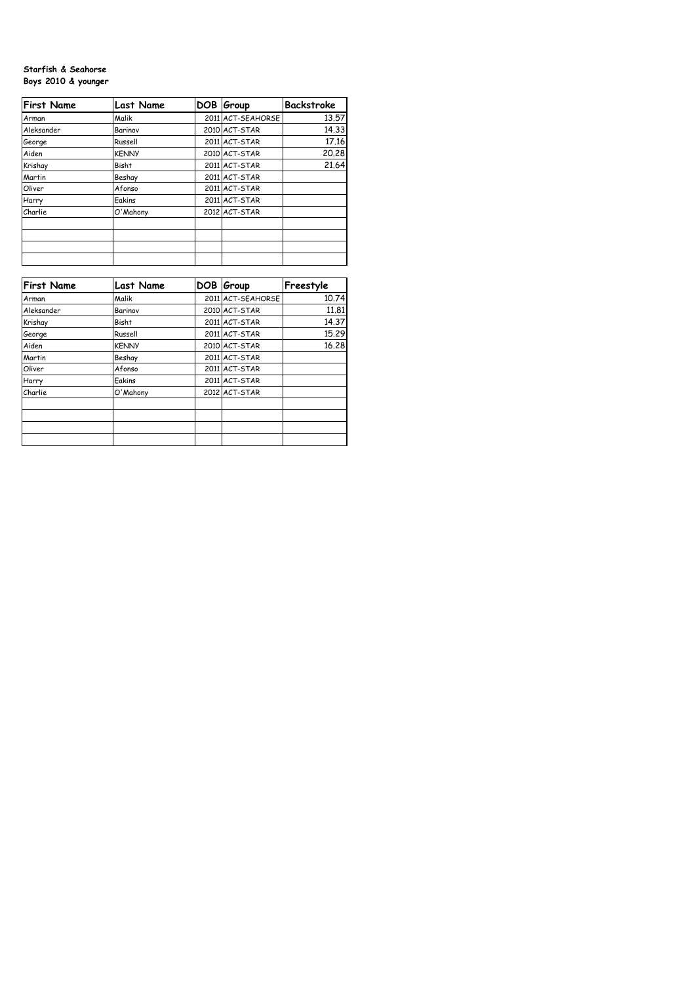## **Starfish & Seahorse Boys 2010 & younger**

| <b>First Name</b> | <b>Last Name</b> | DOB Group         | Backstroke |
|-------------------|------------------|-------------------|------------|
| Arman             | Malik            | 2011 ACT-SEAHORSE | 13.57      |
| Aleksander        | Barinov          | 2010 ACT-STAR     | 14.33      |
| George            | Russell          | 2011 ACT-STAR     | 17.16      |
| Aiden             | <b>KENNY</b>     | 2010 ACT-STAR     | 20.28      |
| Krishay           | <b>Bisht</b>     | 2011 ACT-STAR     | 21.64      |
| Martin            | Beshay           | 2011 ACT-STAR     |            |
| Oliver            | Afonso           | 2011 ACT-STAR     |            |
| Harry             | Eakins           | 2011 ACT-STAR     |            |
| Charlie           | O'Mahony         | 2012 ACT-STAR     |            |
|                   |                  |                   |            |
|                   |                  |                   |            |

| <b>First Name</b> | <b>Last Name</b> | DOB Group         | Freestyle |
|-------------------|------------------|-------------------|-----------|
| Arman             | Malik            | 2011 ACT-SEAHORSE | 10.74     |
| Aleksander        | Barinov          | 2010 ACT-STAR     | 11.81     |
| Krishay           | <b>Bisht</b>     | 2011 ACT-STAR     | 14.37     |
| George            | Russell          | 2011 ACT-STAR     | 15.29     |
| Aiden             | <b>KENNY</b>     | 2010 ACT-STAR     | 16.28     |
| Martin            | Beshay           | 2011 ACT-STAR     |           |
| Oliver            | Afonso           | 2011 ACT-STAR     |           |
| Harry             | Eakins           | 2011 ACT-STAR     |           |
| Charlie           | O'Mahony         | 2012 ACT-STAR     |           |
|                   |                  |                   |           |
|                   |                  |                   |           |
|                   |                  |                   |           |